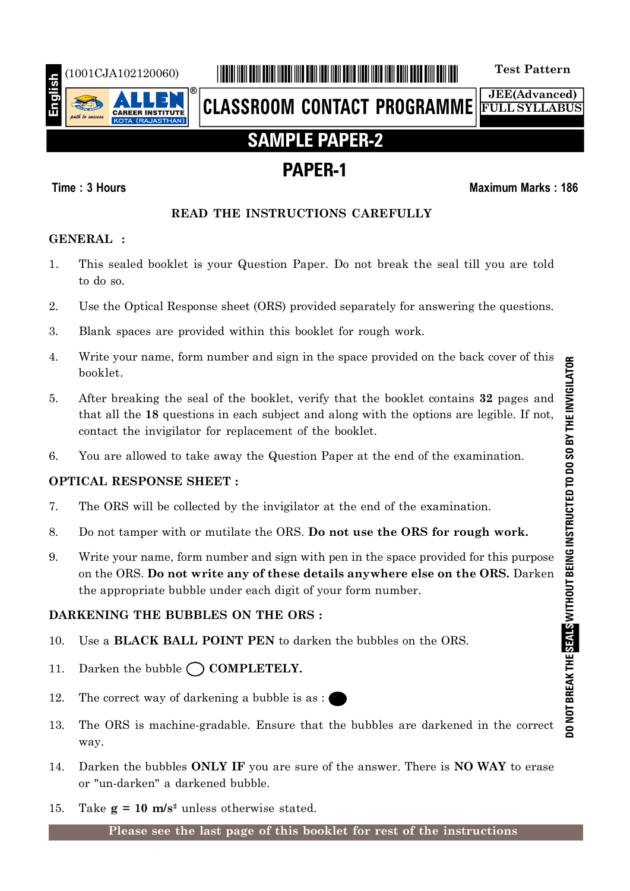

# (1001CJA102120060) \*1001CJA102120060\* **Test Pattern**

**CLASSROOM CONTACT PROGRAMME**

**JEE(Advanced) FULL SYLLABUS**

# **SAMPLE PAPER-2**

# **PAPER-1**

### **Time : 3 Hours Maximum Marks : 186**

### **READ THE INSTRUCTIONS CAREFULLY**

### **GENERAL :**

- 1. This sealed booklet is your Question Paper. Do not break the seal till you are told to do so.
- 2. Use the Optical Response sheet (ORS) provided separately for answering the questions.
- 3. Blank spaces are provided within this booklet for rough work.
- 4. Write your name, form number and sign in the space provided on the back cover of this booklet.
- 5. After breaking the seal of the booklet, verify that the booklet contains **32** pages and that all the **18** questions in each subject and along with the options are legible. If not, contact the invigilator for replacement of the booklet.
- 6. You are allowed to take away the Question Paper at the end of the examination.

### **OPTICAL RESPONSE SHEET :**

- 7. The ORS will be collected by the invigilator at the end of the examination.
- 8. Do not tamper with or mutilate the ORS. **Do not use the ORS for rough work.**
- 9. Write your name, form number and sign with pen in the space provided for this purpose on the ORS. **Do not write any of these details anywhere else on the ORS.** Darken the appropriate bubble under each digit of your form number.

### **DARKENING THE BUBBLES ON THE ORS :**

- 10. Use a **BLACK BALL POINT PEN** to darken the bubbles on the ORS.
- 11. Darken the bubble  $\bigcap$  **COMPLETELY.**
- 12. The correct way of darkening a bubble is as :
- 13. The ORS is machine-gradable. Ensure that the bubbles are darkened in the correct way.
- 14. Darken the bubbles **ONLY IF** you are sure of the answer. There is **NO WAY** to erase or "un-darken" a darkened bubble.
- 15. Take  $g = 10$  m/s<sup>2</sup> unless otherwise stated.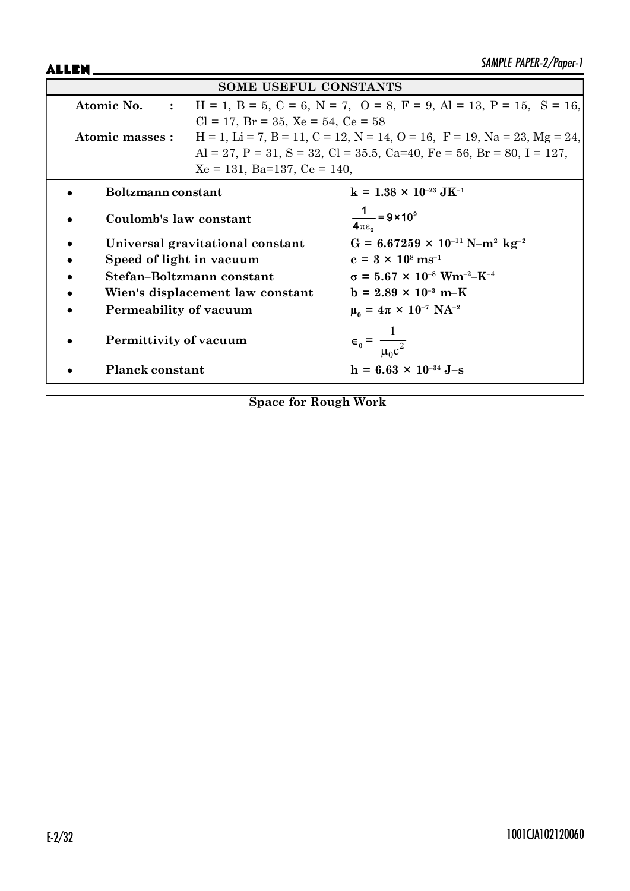ALLEN\_

| <b>SOME USEFUL CONSTANTS</b>     |                                                                                                               |                                                                       |  |  |
|----------------------------------|---------------------------------------------------------------------------------------------------------------|-----------------------------------------------------------------------|--|--|
|                                  | $H = 1$ , $B = 5$ , $C = 6$ , $N = 7$ , $O = 8$ , $F = 9$ , $Al = 13$ , $P = 15$ , $S = 16$ ,<br>Atomic No. : |                                                                       |  |  |
|                                  | $Cl = 17$ , $Br = 35$ , $Xe = 54$ , $Ce = 58$                                                                 |                                                                       |  |  |
| Atomic masses :                  | $H = 1$ , $Li = 7$ , $B = 11$ , $C = 12$ , $N = 14$ , $O = 16$ , $F = 19$ , $Na = 23$ , $Mg = 24$ ,           |                                                                       |  |  |
|                                  |                                                                                                               | Al = 27, P = 31, S = 32, Cl = 35.5, Ca=40, Fe = 56, Br = 80, I = 127, |  |  |
| $Xe = 131$ , Ba=137, Ce = 140,   |                                                                                                               |                                                                       |  |  |
| Boltzmann constant               |                                                                                                               | $k = 1.38 \times 10^{-23} \text{ J} \text{K}^{-1}$                    |  |  |
| Coulomb's law constant           |                                                                                                               | $\frac{1}{4\pi\epsilon_0}$ = 9 × 10 <sup>9</sup>                      |  |  |
| Universal gravitational constant |                                                                                                               | $G = 6.67259 \times 10^{-11} \text{ N} - \text{m}^2 \text{ kg}^{-2}$  |  |  |
| Speed of light in vacuum         |                                                                                                               | $c = 3 \times 10^8 \text{ ms}^{-1}$                                   |  |  |
| Stefan-Boltzmann constant        |                                                                                                               | $\sigma = 5.67 \times 10^{-8}$ Wm <sup>-2</sup> -K <sup>-4</sup>      |  |  |
| Wien's displacement law constant |                                                                                                               | $b = 2.89 \times 10^{-3} \text{ m-K}$                                 |  |  |
| Permeability of vacuum           |                                                                                                               | $\mu_0 = 4\pi \times 10^{-7} \text{ NA}^{-2}$                         |  |  |
| Permittivity of vacuum           |                                                                                                               | $\epsilon_0 = \frac{1}{\mu_0 c^2}$                                    |  |  |
| <b>Planck constant</b>           |                                                                                                               | $h = 6.63 \times 10^{-34}$ J-s                                        |  |  |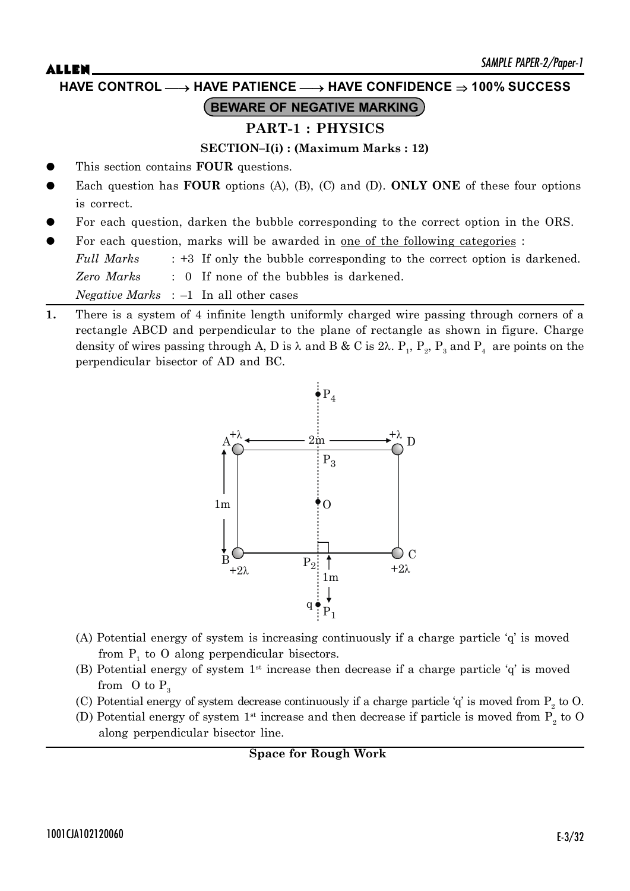# $\mathsf{ALLEN}$   $\blacksquare$ **BEWARE OF NEGATIVE MARKING HAVE CONTROL** o **HAVE PATIENCE** o **HAVE CONFIDENCE 100% SUCCESS**

### **PART-1 : PHYSICS**

### **SECTION–I(i) : (Maximum Marks : 12)**

- This section contains **FOUR** questions.
- Each question has **FOUR** options (A), (B), (C) and (D). **ONLY ONE** of these four options is correct.
- For each question, darken the bubble corresponding to the correct option in the ORS.
- For each question, marks will be awarded in <u>one of the following categories</u> :

*Full Marks* : +3 If only the bubble corresponding to the correct option is darkened. *Zero Marks* : 0 If none of the bubbles is darkened.

*Negative Marks* : –1 In all other cases

**1.** There is a system of 4 infinite length uniformly charged wire passing through corners of a rectangle ABCD and perpendicular to the plane of rectangle as shown in figure. Charge density of wires passing through A, D is  $\lambda$  and B & C is 2 $\lambda$ .  $\mathrm{P_{_1},\,P_{_2},\,P_{_3}}$  and  $\mathrm{P_{_4}}$  are points on the perpendicular bisector of AD and BC.



- (A) Potential energy of system is increasing continuously if a charge particle 'q' is moved from  $P_1$  to O along perpendicular bisectors.
- (B) Potential energy of system  $1<sup>st</sup>$  increase then decrease if a charge particle 'q' is moved from  $\overline{O}$  to  $P_3$
- (C) Potential energy of system decrease continuously if a charge particle  $q'$  is moved from  $P_2$  to O.
- (D) Potential energy of system  $1<sup>st</sup>$  increase and then decrease if particle is moved from  $P_2$  to O along perpendicular bisector line.

**Space for Rough Work**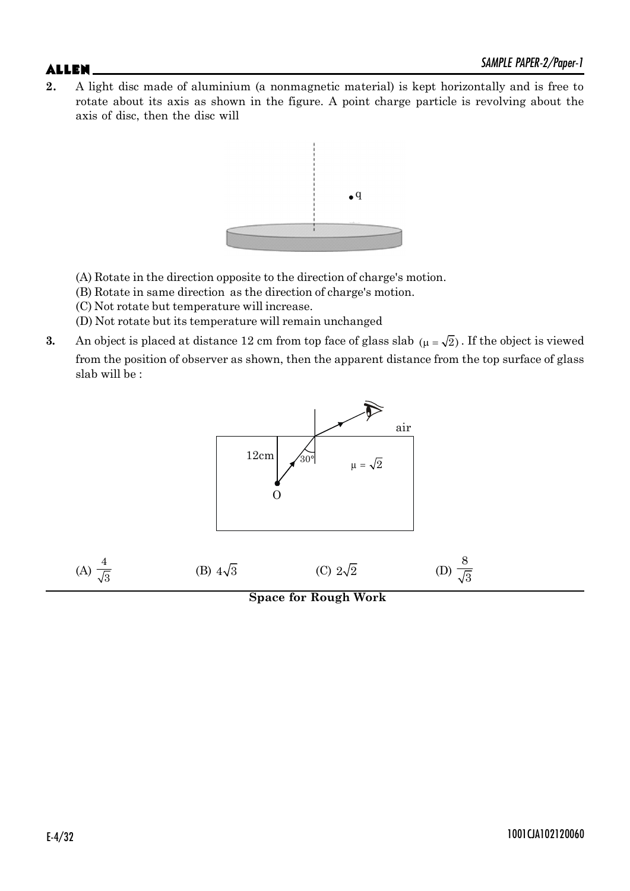**2.** A light disc made of aluminium (a nonmagnetic material) is kept horizontally and is free to rotate about its axis as shown in the figure. A point charge particle is revolving about the axis of disc, then the disc will



- (A) Rotate in the direction opposite to the direction of charge's motion.
- (B) Rotate in same direction as the direction of charge's motion.
- (C) Not rotate but temperature will increase.
- (D) Not rotate but its temperature will remain unchanged
- **3.** An object is placed at distance 12 cm from top face of glass slab  $(\mu = \sqrt{2})$ . If the object is viewed from the position of observer as shown, then the apparent distance from the top surface of glass slab will be :

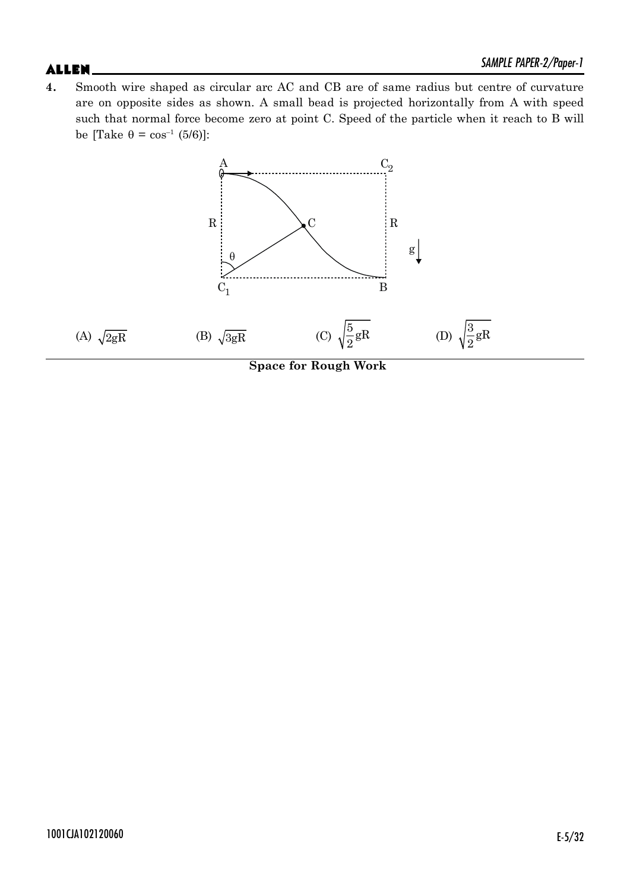$\mathsf{ALLEN}$   $\blacksquare$ **4.** Smooth wire shaped as circular arc AC and CB are of same radius but centre of curvature are on opposite sides as shown. A small bead is projected horizontally from A with speed such that normal force become zero at point C. Speed of the particle when it reach to B will be [Take  $\theta = \cos^{-1} (5/6)$ ]:



**Space for Rough Work**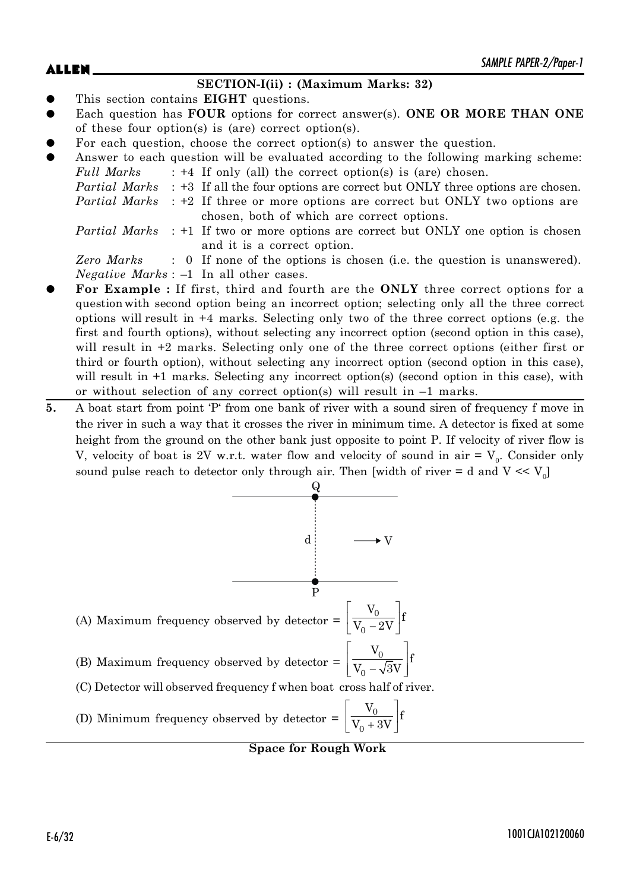### **SECTION-I(ii) : (Maximum Marks: 32)**

- This section contains **EIGHT** questions.
- Each question has **FOUR** options for correct answer(s). ONE OR MORE THAN ONE of these four option(s) is (are) correct option(s).
- For each question, choose the correct option(s) to answer the question.
- Answer to each question will be evaluated according to the following marking scheme: *Full Marks* : +4 If only (all) the correct option(s) is (are) chosen.
	- *Partial Marks* : +3 If all the four options are correct but ONLY three options are chosen.
	- *Partial Marks* : +2 If three or more options are correct but ONLY two options are chosen, both of which are correct options.
	- *Partial Marks* : +1 If two or more options are correct but ONLY one option is chosen and it is a correct option.

*Zero Marks* : 0 If none of the options is chosen (i.e. the question is unanswered). *Negative Marks* : –1 In all other cases.

- For Example : If first, third and fourth are the ONLY three correct options for a question with second option being an incorrect option; selecting only all the three correct options will result in +4 marks. Selecting only two of the three correct options (e.g. the first and fourth options), without selecting any incorrect option (second option in this case), will result in  $+2$  marks. Selecting only one of the three correct options (either first or third or fourth option), without selecting any incorrect option (second option in this case), will result in  $+1$  marks. Selecting any incorrect option(s) (second option in this case), with or without selection of any correct option(s) will result in –1 marks.
- **5.** A boat start from point 'P' from one bank of river with a sound siren of frequency f move in the river in such a way that it crosses the river in minimum time. A detector is fixed at some height from the ground on the other bank just opposite to point P. If velocity of river flow is V, velocity of boat is 2V w.r.t. water flow and velocity of sound in air  $= V_0$ . Consider only sound pulse reach to detector only through air. Then [width of river = d and  $V \ll V_0$ ]

(A) Maximum frequency observed by detector = 
$$
\left[\frac{V_0}{V_0 - 2V}\right] f
$$
  
\n(B) Maximum frequency observed by detector = 
$$
\left[\frac{V_0}{V_0 - \sqrt{3}V}\right] f
$$
  
\n(C) Detection will observed frequency f when boat cross half of river.  
\n(D) Minimum frequency observed by detector = 
$$
\left[\frac{V_0}{V_0 + 3V}\right] f
$$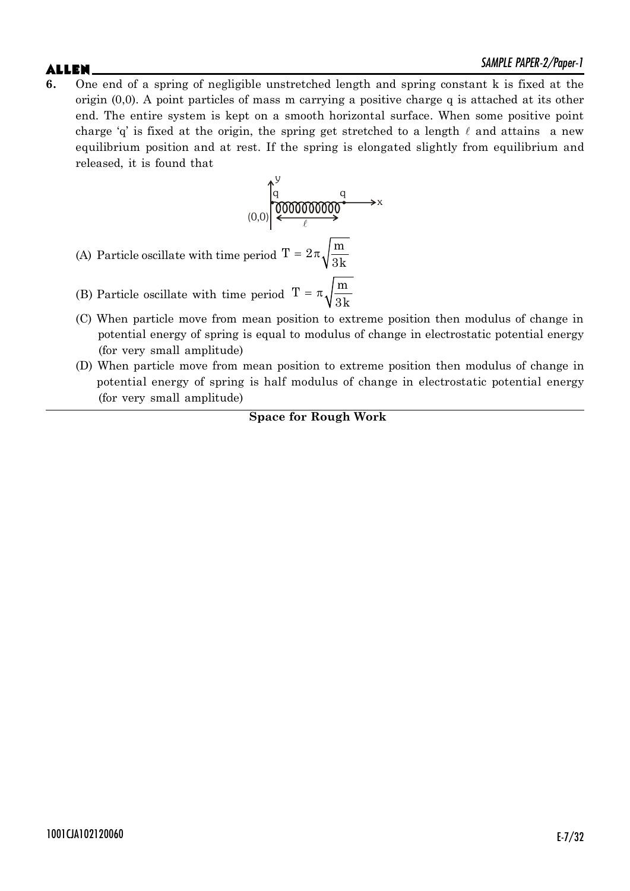$\mathsf{ALLEN}$   $\blacksquare$ **6.** One end of a spring of negligible unstretched length and spring constant k is fixed at the origin (0,0). A point particles of mass m carrying a positive charge q is attached at its other end. The entire system is kept on a smooth horizontal surface. When some positive point charge 'q' is fixed at the origin, the spring get stretched to a length  $\ell$  and attains a new equilibrium position and at rest. If the spring is elongated slightly from equilibrium and released, it is found that

$$
(0,0) \begin{pmatrix} 0 & 0 & 0 \\ 0 & 0 & 0 \\ \hline 0 & 0 & 0 \\ 0 & 0 & 0 \end{pmatrix} \xrightarrow{\mathcal{C}} \mathbb{R} \xrightarrow{\mathcal{C}} \mathbb{R} \xrightarrow{\mathcal{C}}
$$

(A) Particle oscillate with time period  $T = 2\pi \sqrt{\frac{m}{2}}$ 3k  $=2\pi$ 

- (B) Particle oscillate with time period  $T = \pi \sqrt{\frac{m}{\epsilon}}$ 3k  $=$   $\pi$
- (C) When particle move from mean position to extreme position then modulus of change in potential energy of spring is equal to modulus of change in electrostatic potential energy (for very small amplitude)
- (D) When particle move from mean position to extreme position then modulus of change in potential energy of spring is half modulus of change in electrostatic potential energy (for very small amplitude)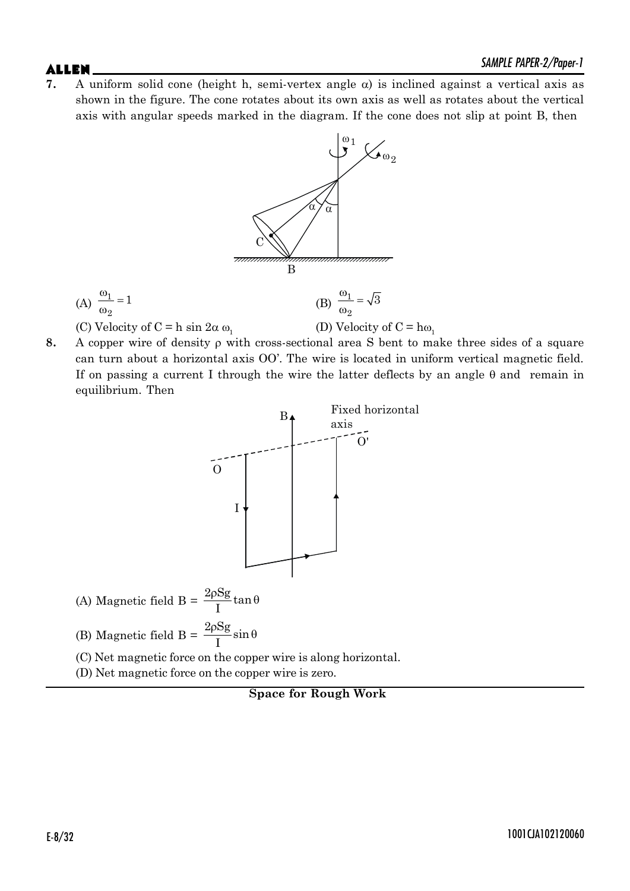**7.** A uniform solid cone (height h, semi-vertex angle  $\alpha$ ) is inclined against a vertical axis as shown in the figure. The cone rotates about its own axis as well as rotates about the vertical axis with angular speeds marked in the diagram. If the cone does not slip at point B, then



**8.** A copper wire of density  $\rho$  with cross-sectional area S bent to make three sides of a square can turn about a horizontal axis OO'. The wire is located in uniform vertical magnetic field. If on passing a current I through the wire the latter deflects by an angle  $\theta$  and remain in equilibrium. Then



 $(A)$  Magnetic field  $B =$  $\frac{2\rho Sg}{I}$ tan I  $\frac{\rho S g}{I} \tan \theta$ 

(B) Magnetic field  $B = \frac{2\rho Sg}{I} \sin \theta$ I  $\frac{\rho S g}{I} \sin \theta$ 

- (C) Net magnetic force on the copper wire is along horizontal.
- (D) Net magnetic force on the copper wire is zero.

**Space for Rough Work**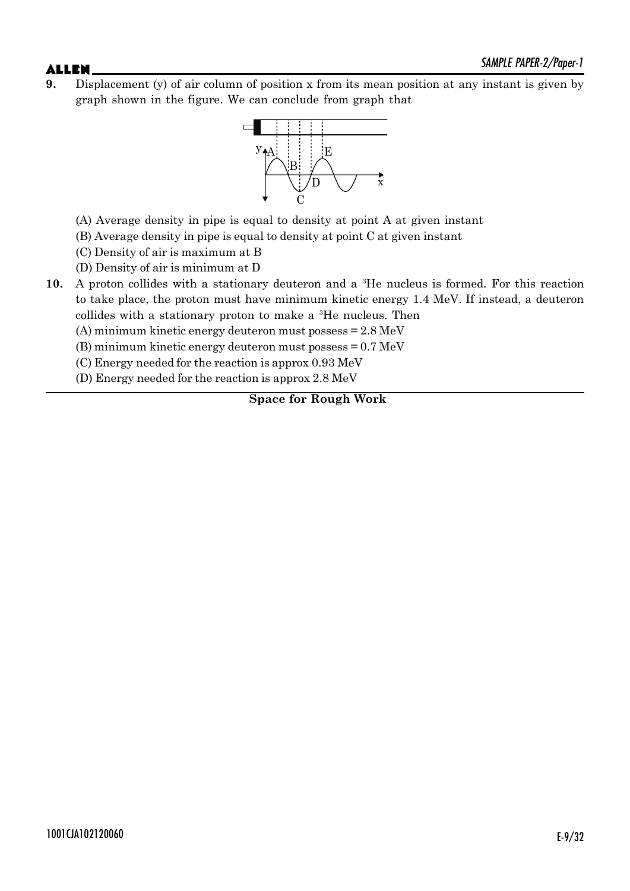**9.** Displacement (y) of air column of position x from its mean position at any instant is given by graph shown in the figure. We can conclude from graph that



- (A) Average density in pipe is equal to density at point A at given instant
- (B) Average density in pipe is equal to density at point C at given instant
- (C) Density of air is maximum at B
- (D) Density of air is minimum at D
- **10.** A proton collides with a stationary deuteron and a 3He nucleus is formed. For this reaction to take place, the proton must have minimum kinetic energy 1.4 MeV. If instead, a deuteron collides with a stationary proton to make a 3He nucleus. Then
	- (A) minimum kinetic energy deuteron must possess = 2.8 MeV
	- (B) minimum kinetic energy deuteron must possess = 0.7 MeV
	- (C) Energy needed for the reaction is approx 0.93 MeV
	- (D) Energy needed for the reaction is approx 2.8 MeV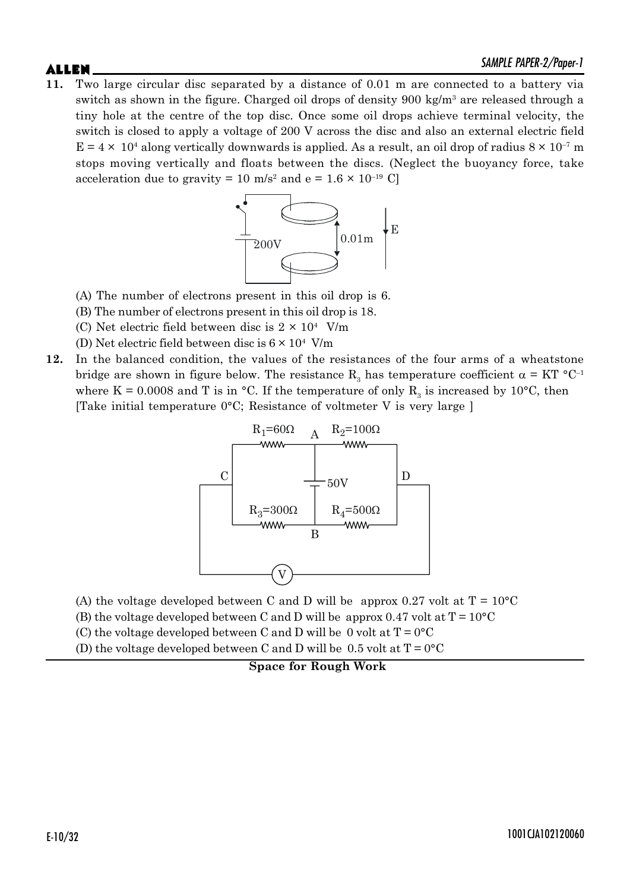**11.** Two large circular disc separated by a distance of 0.01 m are connected to a battery via switch as shown in the figure. Charged oil drops of density 900 kg/m<sup>3</sup> are released through a tiny hole at the centre of the top disc. Once some oil drops achieve terminal velocity, the switch is closed to apply a voltage of 200 V across the disc and also an external electric field  $E = 4 \times 10^4$  along vertically downwards is applied. As a result, an oil drop of radius  $8 \times 10^{-7}$  m stops moving vertically and floats between the discs. (Neglect the buoyancy force, take acceleration due to gravity = 10 m/s<sup>2</sup> and e =  $1.6 \times 10^{-19}$  C]



- (A) The number of electrons present in this oil drop is 6.
- (B) The number of electrons present in this oil drop is 18.
- (C) Net electric field between disc is  $2 \times 10^4$  V/m
- (D) Net electric field between disc is  $6 \times 10^4$  V/m
- **12.** In the balanced condition, the values of the resistances of the four arms of a wheatstone bridge are shown in figure below. The resistance  $\mathrm{R}_{3}$  has temperature coefficient  $\alpha = \mathrm{KT}$  °C<sup>-1</sup> where K = 0.0008 and T is in °C. If the temperature of only  $R_3$  is increased by 10°C, then [Take initial temperature 0°C; Resistance of voltmeter V is very large ]



- (A) the voltage developed between C and D will be approx 0.27 volt at  $T = 10^{\circ}C$
- (B) the voltage developed between C and D will be approx 0.47 volt at  $T = 10^{\circ}C$
- (C) the voltage developed between C and D will be 0 volt at  $T = 0^{\circ}C$
- (D) the voltage developed between C and D will be 0.5 volt at  $T = 0^{\circ}C$

**Space for Rough Work**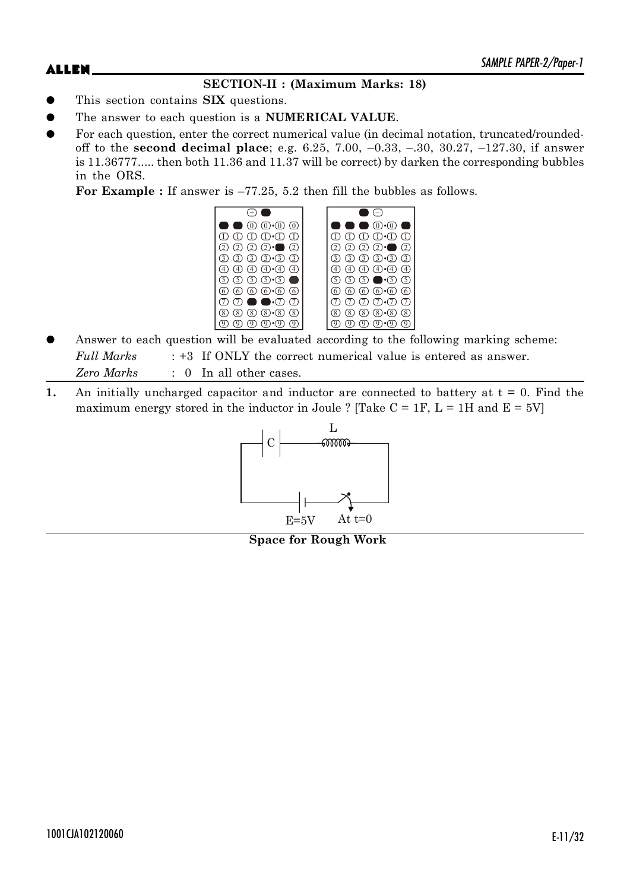## **SECTION-II : (Maximum Marks: 18)**

- This section contains **SIX** questions.
- The answer to each question is a **NUMERICAL VALUE**.
- For each question, enter the correct numerical value (in decimal notation, truncated/roundedoff to the **second decimal place**; e.g. 6.25, 7.00, –0.33, –.30, 30.27, –127.30, if answer is 11.36777..... then both 11.36 and 11.37 will be correct) by darken the corresponding bubbles in the ORS.

For Example : If answer is  $-77.25$ , 5.2 then fill the bubbles as follows.



- Answer to each question will be evaluated according to the following marking scheme: *Full Marks* : +3 If ONLY the correct numerical value is entered as answer. *Zero Marks* : 0 In all other cases.
- **1.** An initially uncharged capacitor and inductor are connected to battery at  $t = 0$ . Find the maximum energy stored in the inductor in Joule ? [Take  $C = 1F$ ,  $L = 1H$  and  $E = 5V$ ]



**Space for Rough Work**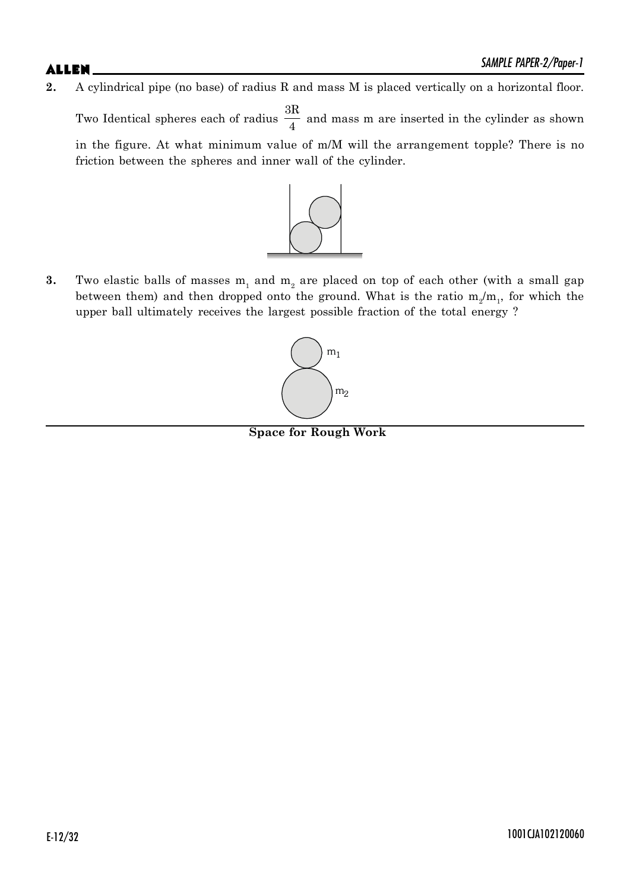**2.** A cylindrical pipe (no base) of radius R and mass M is placed vertically on a horizontal floor.

Two Identical spheres each of radius 3R  $\frac{4}{4}$  and mass m are inserted in the cylinder as shown in the figure. At what minimum value of m/M will the arrangement topple? There is no friction between the spheres and inner wall of the cylinder.



**3.** Two elastic balls of masses  $m_1$  and  $m_2$  are placed on top of each other (with a small gap between them) and then dropped onto the ground. What is the ratio  $m_2/m_1$ , for which the upper ball ultimately receives the largest possible fraction of the total energy ?



**Space for Rough Work**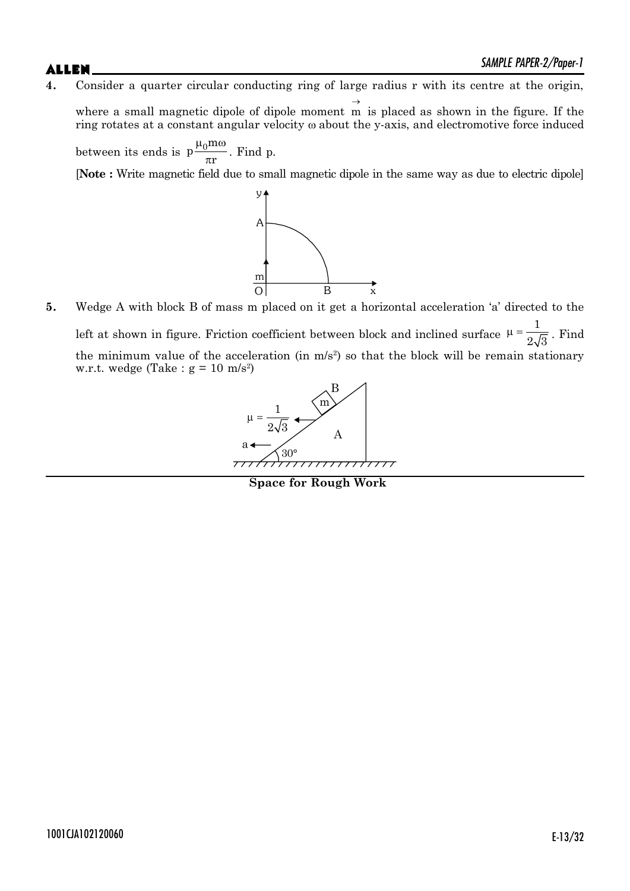**4.** Consider a quarter circular conducting ring of large radius r with its centre at the origin,

where a small magnetic dipole of dipole moment  $\rightarrow$ m is placed as shown in the figure. If the ring rotates at a constant angular velocity  $\omega$  about the y-axis, and electromotive force induced

between its ends is  $p\frac{\mu_0 m}{m}$ r  $\mu_0$ m $\omega$  $\frac{1}{\pi r}$ . Find p.

[**Note :** Write magnetic field due to small magnetic dipole in the same way as due to electric dipole]



**5.** Wedge A with block B of mass m placed on it get a horizontal acceleration 'a' directed to the left at shown in figure. Friction coefficient between block and inclined surface 1  $\mu = \frac{1}{2\sqrt{3}}$ . Find the minimum value of the acceleration (in  $m/s^2$ ) so that the block will be remain stationary w.r.t. wedge (Take :  $g = 10$  m/s<sup>2</sup>)



**Space for Rough Work**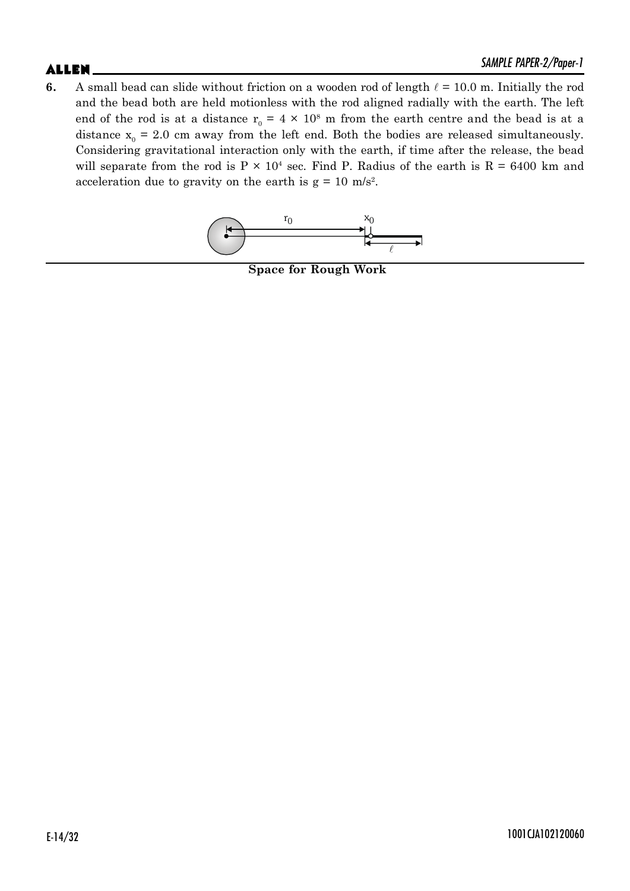# $ALLEN$   $\sum_{M|N|L}$   $PAPEN-Z/Topel-1$

**6.** A small bead can slide without friction on a wooden rod of length  $\ell = 10.0$  m. Initially the rod and the bead both are held motionless with the rod aligned radially with the earth. The left end of the rod is at a distance  $r_0 = 4 \times 10^8$  m from the earth centre and the bead is at a distance  $x_0 = 2.0$  cm away from the left end. Both the bodies are released simultaneously. Considering gravitational interaction only with the earth, if time after the release, the bead will separate from the rod is  $P \times 10^4$  sec. Find P. Radius of the earth is  $R = 6400$  km and acceleration due to gravity on the earth is  $g = 10$  m/s<sup>2</sup>.



**Space for Rough Work**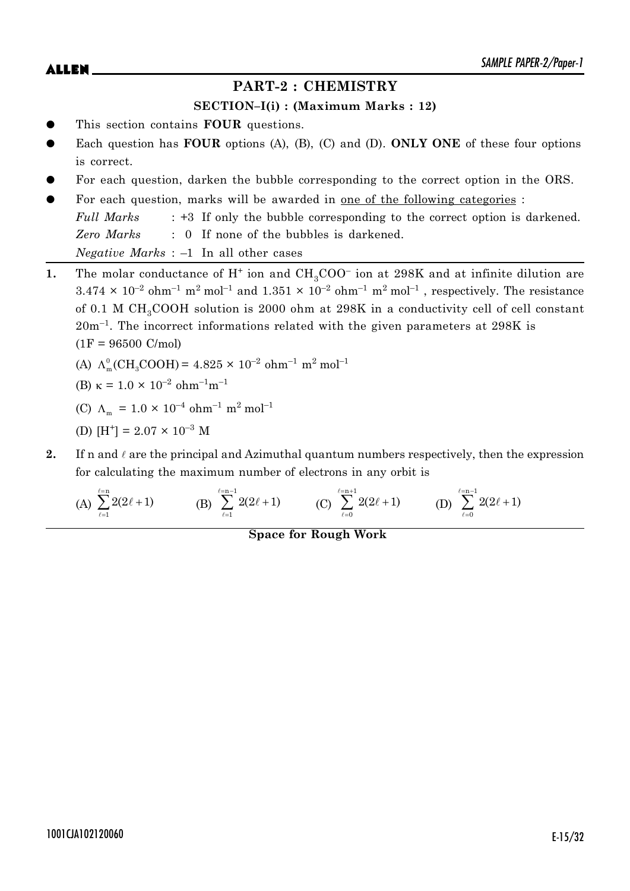## **PART-2 : CHEMISTRY**

### **SECTION–I(i) : (Maximum Marks : 12)**

- This section contains **FOUR** questions.
- Each question has **FOUR** options (A), (B), (C) and (D). **ONLY ONE** of these four options is correct.
- For each question, darken the bubble corresponding to the correct option in the ORS.
- For each question, marks will be awarded in one of the following categories : *Full Marks* : +3 If only the bubble corresponding to the correct option is darkened. *Zero Marks* : 0 If none of the bubbles is darkened. *Negative Marks* : –1 In all other cases
- **1.** The molar conductance of  $H^+$  ion and  $CH_3COO^-$  ion at 298K and at infinite dilution are  $3.474 \times 10^{-2}$  ohm<sup>-1</sup> m<sup>2</sup> mol<sup>-1</sup> and  $1.351 \times 10^{-2}$  ohm<sup>-1</sup> m<sup>2</sup> mol<sup>-1</sup>, respectively. The resistance of 0.1 M CH<sub>3</sub>COOH solution is 2000 ohm at 298K in a conductivity cell of cell constant 20m–1. The incorrect informations related with the given parameters at 298K is  $(1F = 96500 \text{ C/mol})$ 
	- (A)  $\Lambda_m^0$  (CH<sub>3</sub>COOH) = 4.825 × 10<sup>-2</sup> ohm<sup>-1</sup> m<sup>2</sup> mol<sup>-1</sup>
	- (B)  $\kappa = 1.0 \times 10^{-2}$  ohm<sup>-1</sup>m<sup>-1</sup>
	- (C)  $\Lambda_{\text{m}} = 1.0 \times 10^{-4} \text{ ohm}^{-1} \text{ m}^2 \text{ mol}^{-1}$
	- (D)  $[H^+] = 2.07 \times 10^{-3}$  M
- **2.** If n and  $\ell$  are the principal and Azimuthal quantum numbers respectively, then the expression for calculating the maximum number of electrons in any orbit is

(A) 
$$
\sum_{\ell=1}^{\ell=n} 2(2\ell+1)
$$
 (B)  $\sum_{\ell=1}^{\ell=n-1} 2(2\ell+1)$  (C)  $\sum_{\ell=0}^{\ell=n+1} 2(2\ell+1)$  (D)  $\sum_{\ell=0}^{\ell=n-1} 2(2\ell+1)$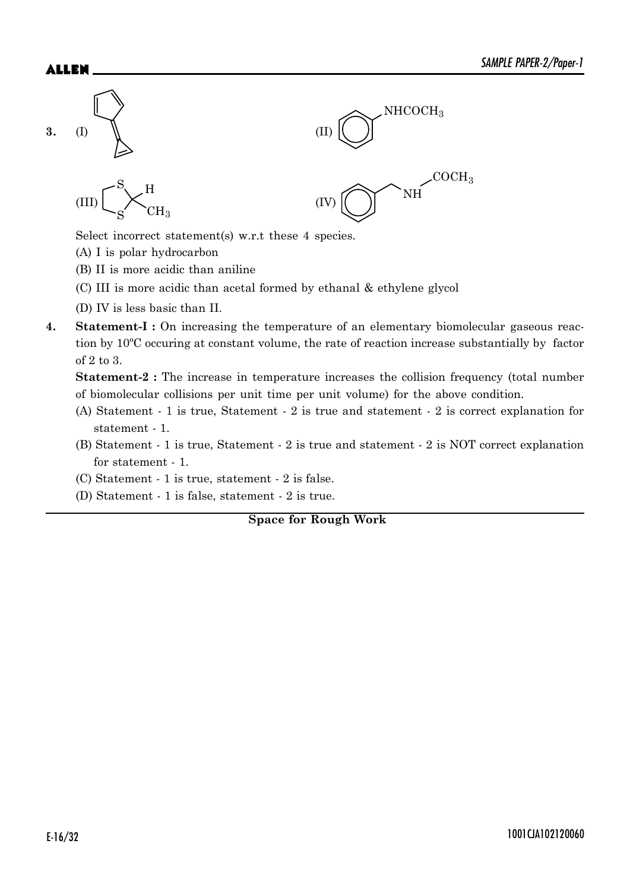

Select incorrect statement(s) w.r.t these 4 species.

- (A) I is polar hydrocarbon
- (B) II is more acidic than aniline
- (C) III is more acidic than acetal formed by ethanal & ethylene glycol
- (D) IV is less basic than II.
- **4.** Statement-I : On increasing the temperature of an elementary biomolecular gaseous reaction by 10ºC occuring at constant volume, the rate of reaction increase substantially by factor of 2 to 3.

**Statement-2 :** The increase in temperature increases the collision frequency (total number of biomolecular collisions per unit time per unit volume) for the above condition.

- (A) Statement 1 is true, Statement 2 is true and statement 2 is correct explanation for statement - 1.
- (B) Statement 1 is true, Statement 2 is true and statement 2 is NOT correct explanation for statement - 1.
- (C) Statement 1 is true, statement 2 is false.
- (D) Statement 1 is false, statement 2 is true.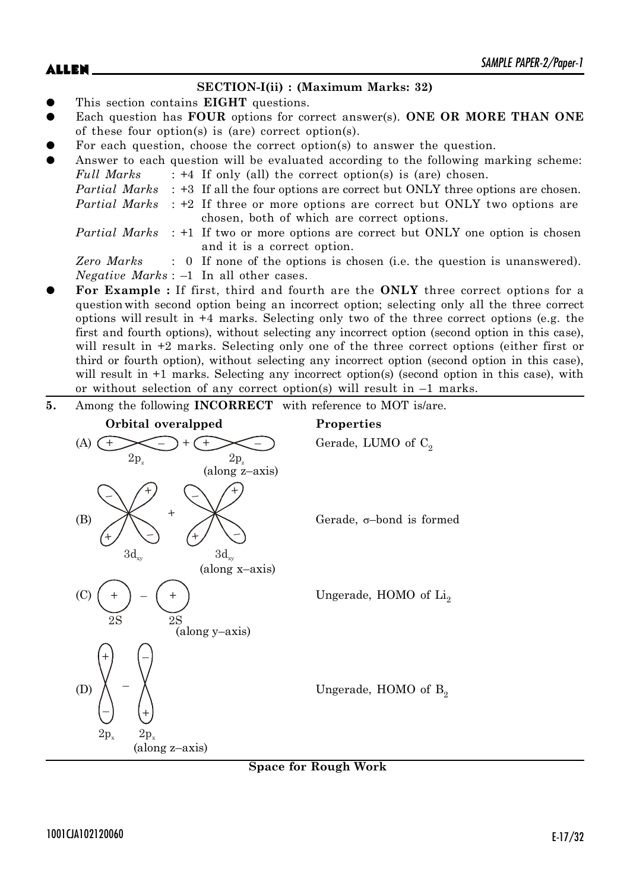### **SECTION-I(ii) : (Maximum Marks: 32)**

- This section contains **EIGHT** questions.
- Each question has **FOUR** options for correct answer(s). **ONE OR MORE THAN ONE** of these four option(s) is (are) correct option(s).
- For each question, choose the correct option(s) to answer the question.
- Answer to each question will be evaluated according to the following marking scheme:
	- *Full Marks* : +4 If only (all) the correct option(s) is (are) chosen.

```
Partial Marks : +3 If all the four options are correct but ONLY three options are chosen.
```
*Partial Marks* : +2 If three or more options are correct but ONLY two options are chosen, both of which are correct options.

*Partial Marks* : +1 If two or more options are correct but ONLY one option is chosen and it is a correct option.

*Zero Marks* : 0 If none of the options is chosen (i.e. the question is unanswered). *Negative Marks* : –1 In all other cases.

z **For Example :** If first, third and fourth are the **ONLY** three correct options for a question with second option being an incorrect option; selecting only all the three correct options will result in +4 marks. Selecting only two of the three correct options (e.g. the first and fourth options), without selecting any incorrect option (second option in this case), will result in  $+2$  marks. Selecting only one of the three correct options (either first or third or fourth option), without selecting any incorrect option (second option in this case), will result in  $+1$  marks. Selecting any incorrect option(s) (second option in this case), with or without selection of any correct option(s) will result in  $-1$  marks.

**5.** Among the following **INCORRECT** with reference to MOT is/are.

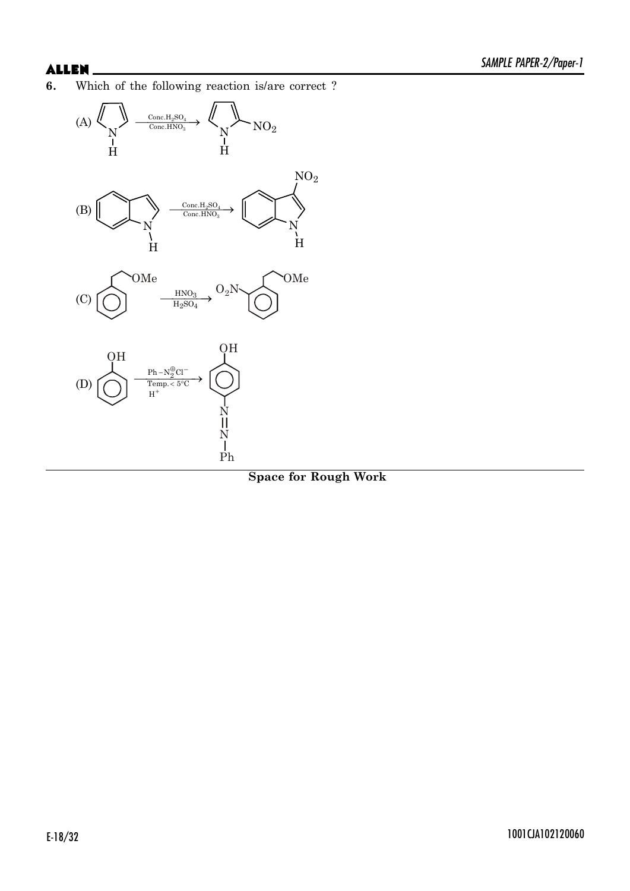**6.** Which of the following reaction is/are correct ?

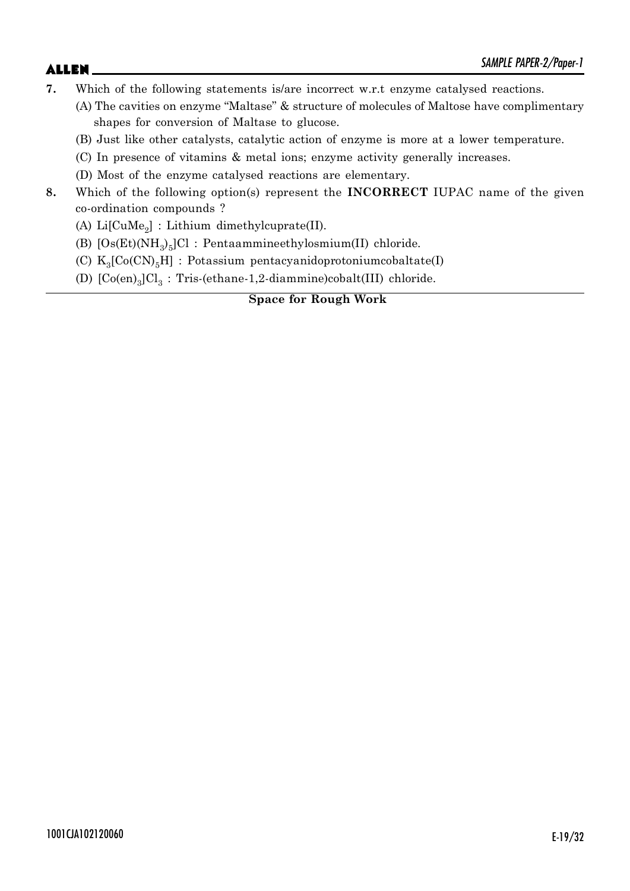- **7.** Which of the following statements is/are incorrect w.r.t enzyme catalysed reactions.
	- (A) The cavities on enzyme "Maltase" & structure of molecules of Maltose have complimentary shapes for conversion of Maltase to glucose.
	- (B) Just like other catalysts, catalytic action of enzyme is more at a lower temperature.
	- (C) In presence of vitamins & metal ions; enzyme activity generally increases.
	- (D) Most of the enzyme catalysed reactions are elementary.
- **8.** Which of the following option(s) represent the **INCORRECT** IUPAC name of the given co-ordination compounds ?
	- (A)  $Li[CuMe<sub>2</sub>]$  : Lithium dimethylcuprate(II).
	- (B)  $[Os(Et) (NH<sub>3</sub>)<sub>5</sub>] Cl$  : Pentaammineethylosmium(II) chloride.
	- (C)  $K_3[Co(CN)_5H]$  : Potassium pentacyanidoprotoniumcobaltate(I)
	- (D)  $[Co(en)_3]Cl_3$ : Tris-(ethane-1,2-diammine)cobalt(III) chloride.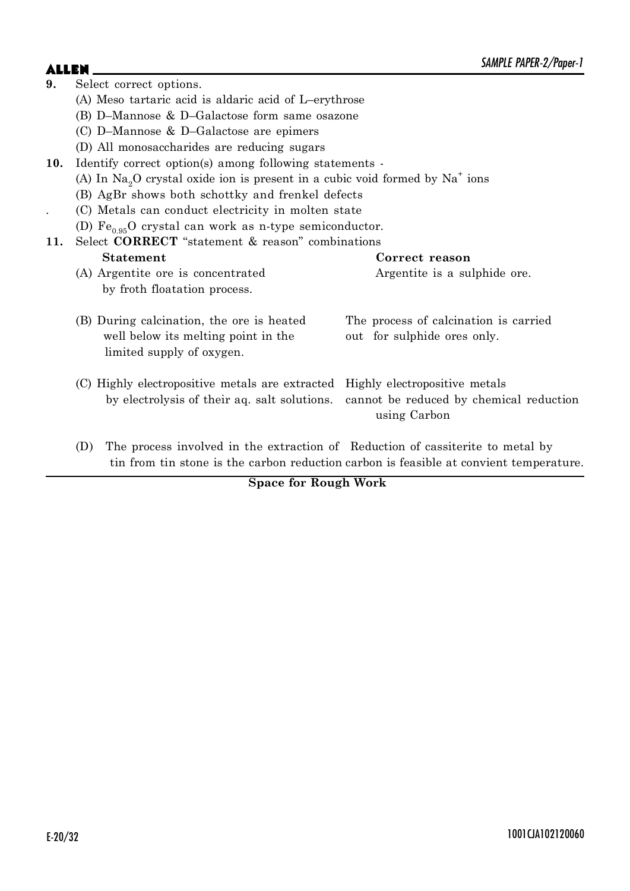| 9.                                                             | Select correct options.                                                                                                       |                                                                                        |  |  |  |  |  |
|----------------------------------------------------------------|-------------------------------------------------------------------------------------------------------------------------------|----------------------------------------------------------------------------------------|--|--|--|--|--|
|                                                                | (A) Meso tartaric acid is aldaric acid of L-erythrose                                                                         |                                                                                        |  |  |  |  |  |
|                                                                | (B) D-Mannose & D-Galactose form same osazone                                                                                 |                                                                                        |  |  |  |  |  |
|                                                                | (C) D-Mannose $\&$ D-Galactose are epimers                                                                                    |                                                                                        |  |  |  |  |  |
|                                                                | (D) All monosaccharides are reducing sugars                                                                                   |                                                                                        |  |  |  |  |  |
| 10.                                                            | Identify correct option(s) among following statements -                                                                       |                                                                                        |  |  |  |  |  |
|                                                                | (A) In $\text{Na}_2\text{O}$ crystal oxide ion is present in a cubic void formed by $\text{Na}^+$ ions                        |                                                                                        |  |  |  |  |  |
|                                                                | (B) AgBr shows both schottky and frenkel defects                                                                              |                                                                                        |  |  |  |  |  |
|                                                                | (C) Metals can conduct electricity in molten state                                                                            |                                                                                        |  |  |  |  |  |
|                                                                | (D) $\text{Fe}_{0.95}$ O crystal can work as n-type semiconductor.                                                            |                                                                                        |  |  |  |  |  |
| Select <b>CORRECT</b> "statement & reason" combinations<br>11. |                                                                                                                               |                                                                                        |  |  |  |  |  |
|                                                                | <b>Statement</b>                                                                                                              | Correct reason                                                                         |  |  |  |  |  |
|                                                                | (A) Argentite ore is concentrated                                                                                             | Argentite is a sulphide ore.                                                           |  |  |  |  |  |
|                                                                | by froth floatation process.                                                                                                  |                                                                                        |  |  |  |  |  |
|                                                                | (B) During calcination, the ore is heated<br>well below its melting point in the<br>limited supply of oxygen.                 | The process of calcination is carried<br>out for sulphide ores only.                   |  |  |  |  |  |
|                                                                | (C) Highly electropositive metals are extracted Highly electropositive metals<br>by electrolysis of their aq. salt solutions. | cannot be reduced by chemical reduction<br>using Carbon                                |  |  |  |  |  |
|                                                                | The process involved in the extraction of Reduction of cassiterite to metal by<br>(D)                                         | tin from tin stone is the carbon reduction carbon is feasible at convient temperature. |  |  |  |  |  |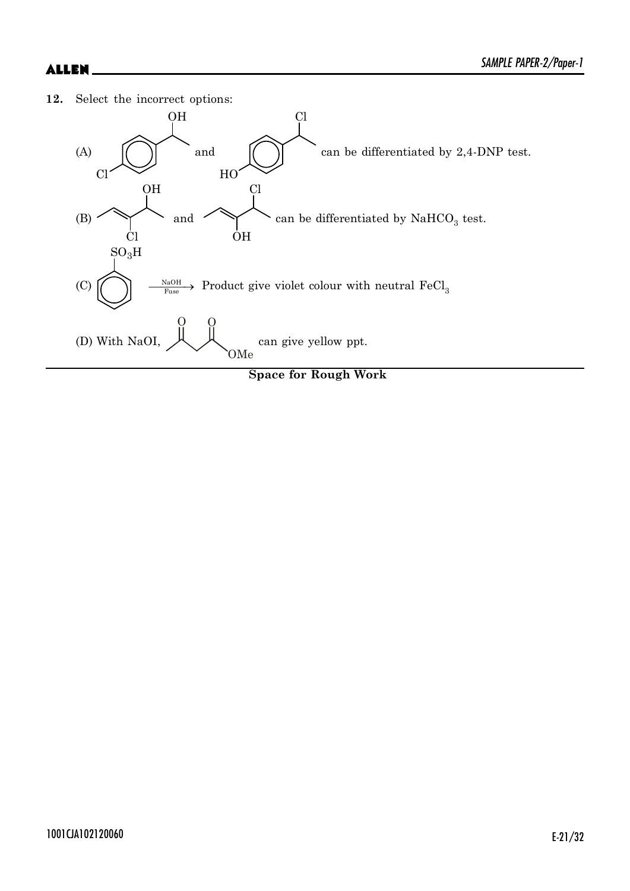**12.** Select the incorrect options:



**Space for Rough Work**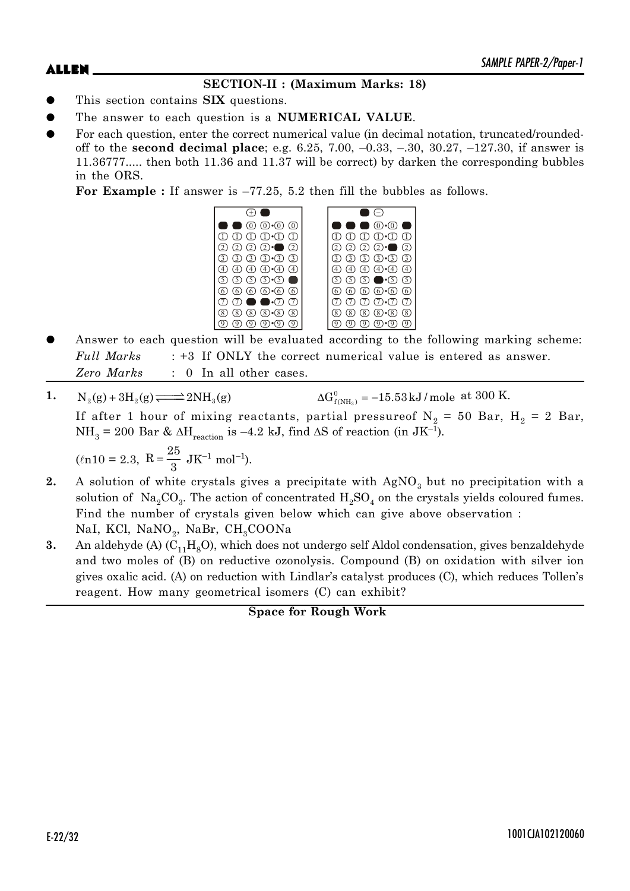# **SECTION-II : (Maximum Marks: 18)**

- This section contains **SIX** questions.
- The answer to each question is a **NUMERICAL VALUE**.
- For each question, enter the correct numerical value (in decimal notation, truncated/roundedoff to the **second decimal place**; e.g. 6.25, 7.00, –0.33, –.30, 30.27, –127.30, if answer is 11.36777..... then both 11.36 and 11.37 will be correct) by darken the corresponding bubbles in the ORS.

**For Example :** If answer is –77.25, 5.2 then fill the bubbles as follows.



- Answer to each question will be evaluated according to the following marking scheme: *Full Marks* : +3 If ONLY the correct numerical value is entered as answer. *Zero Marks* : 0 In all other cases.
- 1.  $N_2(g) + 3H_2(g) \rightleftharpoons 2NH_3(g)$  $\Delta G_{f(NH_3)}^0 = -15.53 \text{ kJ/mol}$  at 300 K. If after 1 hour of mixing reactants, partial pressureof  $\mathrm{N}_2$  = 50 Bar, H<sub>2</sub> = 2 Bar,  $NH<sub>3</sub> = 200$  Bar &  $\Delta H<sub>reaction</sub>$  is -4.2 kJ, find  $\Delta S$  of reaction (in JK<sup>-1</sup>).

$$
(ln 10 = 2.3, R = \frac{25}{3} JK^{-1} mol^{-1}).
$$

- **2.** A solution of white crystals gives a precipitate with  $AgNO<sub>3</sub>$  but no precipitation with a solution of  $\text{ Na}_2\text{CO}_3$ . The action of concentrated  $\text{H}_2\text{SO}_4$  on the crystals yields coloured fumes. Find the number of crystals given below which can give above observation : NaI, KCl,  $\mathrm{NaNO}_2$ ,  $\mathrm{NaBr}, \ \mathrm{CH}_3\mathrm{COONa}$
- **3.** An aldehyde (A)  $(C_{11}H_8O)$ , which does not undergo self Aldol condensation, gives benzaldehyde and two moles of (B) on reductive ozonolysis. Compound (B) on oxidation with silver ion gives oxalic acid. (A) on reduction with Lindlar's catalyst produces (C), which reduces Tollen's reagent. How many geometrical isomers (C) can exhibit?

**Space for Rough Work**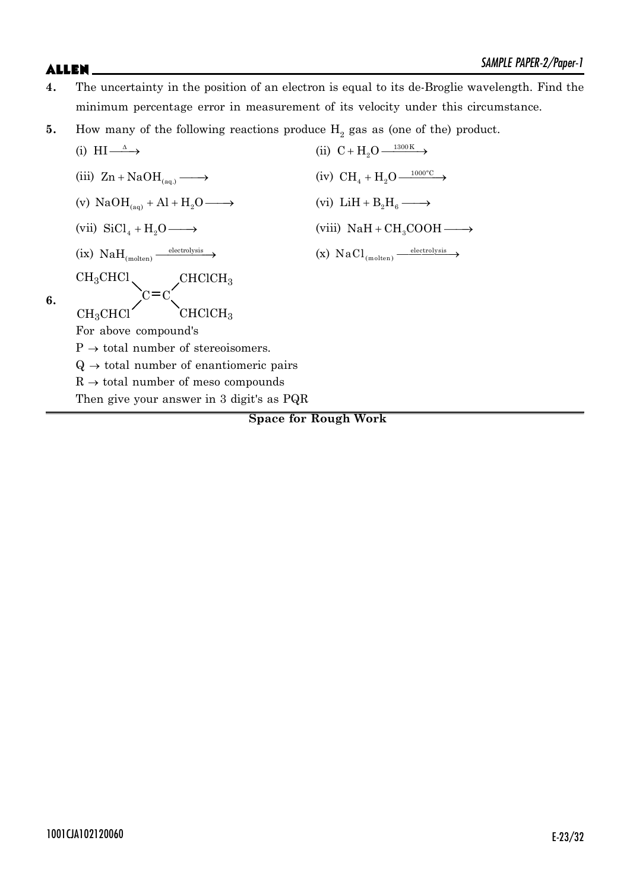- **4.** The uncertainty in the position of an electron is equal to its de-Broglie wavelength. Find the minimum percentage error in measurement of its velocity under this circumstance.
- **5.** How many of the following reactions produce  $H_2$  gas as (one of the) product.

(i) HI 
$$
\longrightarrow
$$
 (i  
\n(iii) Zn + NaOH<sub>(aq.)</sub>  $\longrightarrow$  (i  
\n(iv) NaOH<sub>(aq)</sub> + Al + H<sub>2</sub>O  $\longrightarrow$  (v  
\n(vii) SiCl<sub>4</sub> + H<sub>2</sub>O  $\longrightarrow$  (v  
\n(ix) NaH<sub>(molten)</sub>  $\xrightarrow{electrolysis}$  (x  
\nCH<sub>3</sub>CHCl  
\n**6.** CH<sub>3</sub>CHCl  
\nFor above compound's  
\nP  $\rightarrow$  total number of stereoisomers.  
\nQ  $\rightarrow$  total number of mantiomeric pairs  
\nR  $\rightarrow$  total number of meso compounds  
\nThen give your answer in 3 digit's as PQR

ii)  $C + H_2 O \xrightarrow{1300 \text{ K}}$ iv)  $\text{CH}_4 + \text{H}_2\text{O} \longrightarrow$ vi)  $LiH + B<sub>2</sub>H<sub>6</sub>$   $\longrightarrow$ viii)  $\text{NaH} + \text{CH}_3\text{COOH} \longrightarrow$  $x) \text{ NaCl}_{\text{(molten)}} \longrightarrow$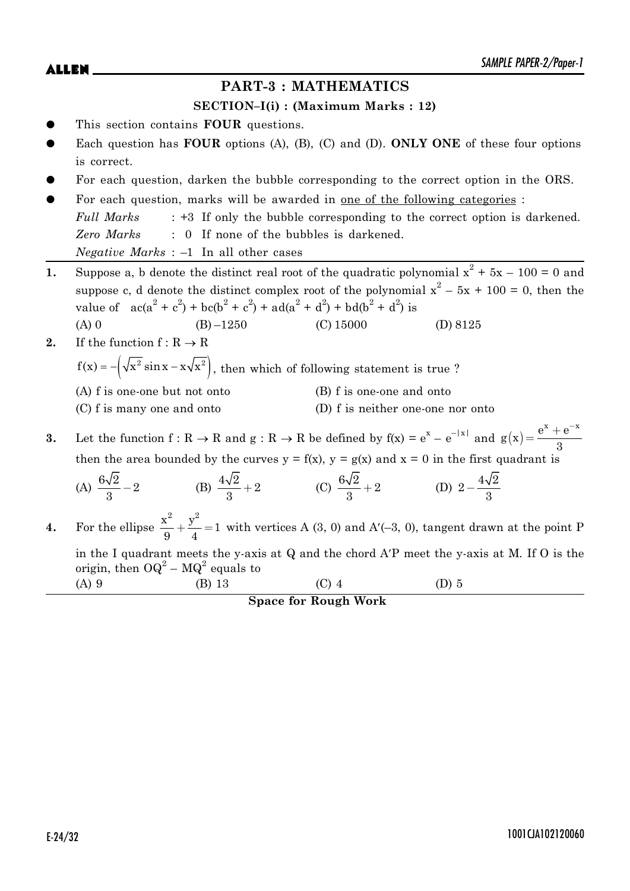$ALLEN$   $\sum_{M|N|L}$   $PAPEN-Z/Topel-I$ 

# **PART-3 : MATHEMATICS**

### **SECTION–I(i) : (Maximum Marks : 12)**

- This section contains **FOUR** questions.
- Each question has **FOUR** options (A), (B), (C) and (D). **ONLY ONE** of these four options is correct.
- For each question, darken the bubble corresponding to the correct option in the ORS.
- For each question, marks will be awarded in one of the following categories : *Full Marks* : +3 If only the bubble corresponding to the correct option is darkened. *Zero Marks* : 0 If none of the bubbles is darkened. *Negative Marks* : –1 In all other cases
- **1.** Suppose a, b denote the distinct real root of the quadratic polynomial  $x^2 + 5x 100 = 0$  and suppose c, d denote the distinct complex root of the polynomial  $x^2 - 5x + 100 = 0$ , then the value of  $ac(a^2 + c^2) + bc(b^2 + c^2) + ad(a^2 + d^2) + bd(b^2 + d^2)$  is
	- (A) 0 (B)  $-1250$  (C) 15000 (D) 8125
- **2.** If the function  $f: R \to R$

 $f(x) = -\left(\sqrt{x^2} \sin x - x \sqrt{x^2}\right)$ , then which of following statement is true ?

- (A) f is one-one but not onto (B) f is one-one and onto
	-
- (C) f is many one and onto (D) f is neither one-one nor onto
- **3.** Let the function  $f: R \to R$  and  $g: R \to R$  be defined by  $f(x) = e^x e^{-|x|}$  and  $g(x) = \frac{e^x + e^{-x}}{2}$ 3  $=\frac{e^{x}+e^{-x}}{2}$ then the area bounded by the curves  $y = f(x)$ ,  $y = g(x)$  and  $x = 0$  in the first quadrant is

(A) 
$$
\frac{6\sqrt{2}}{3} - 2
$$
 (B)  $\frac{4\sqrt{2}}{3} + 2$  (C)  $\frac{6\sqrt{2}}{3} + 2$  (D)  $2 - \frac{4\sqrt{2}}{3}$ 

**4.** For the ellipse  $\frac{x^2}{2} + \frac{y^2}{4} = 1$  $\frac{1}{9} + \frac{9}{4} = 1$  with vertices A (3, 0) and A'(-3, 0), tangent drawn at the point P in the I quadrant meets the y-axis at  $Q$  and the chord  $A'P$  meet the y-axis at M. If  $O$  is the origin, then  $OQ^2 - MQ^2$  equals to (A) 9 (B) 13 (C) 4 (D) 5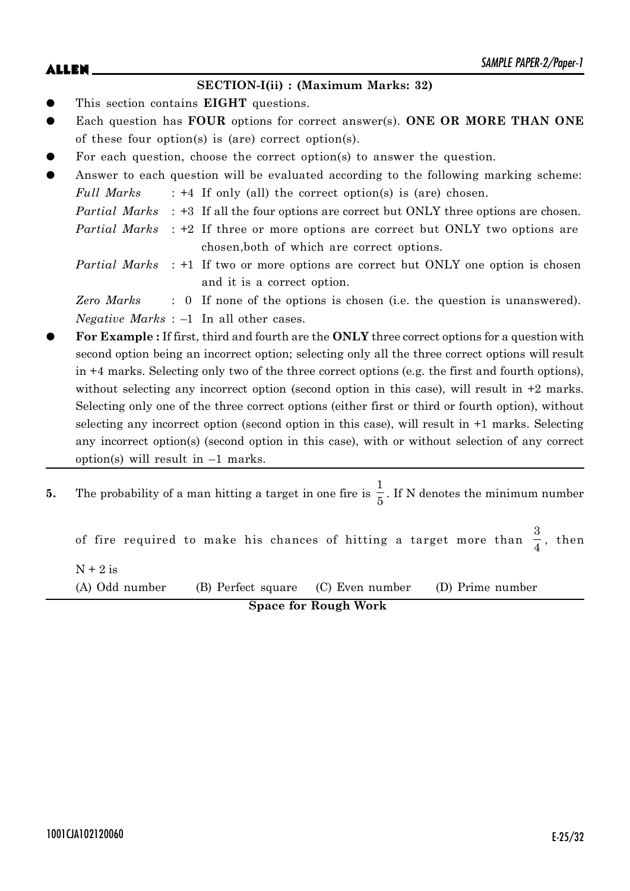### **SECTION-I(ii) : (Maximum Marks: 32)**

- This section contains **EIGHT** questions.
- Each question has **FOUR** options for correct answer(s). **ONE OR MORE THAN ONE** of these four option(s) is (are) correct option(s).
- For each question, choose the correct option(s) to answer the question.
- Answer to each question will be evaluated according to the following marking scheme: *Full Marks* : +4 If only (all) the correct option(s) is (are) chosen. *Partial Marks* : +3 If all the four options are correct but ONLY three options are chosen. *Partial Marks* : +2 If three or more options are correct but ONLY two options are

chosen,both of which are correct options.

*Partial Marks* : +1 If two or more options are correct but ONLY one option is chosen and it is a correct option.

*Zero Marks* : 0 If none of the options is chosen (i.e. the question is unanswered). *Negative Marks* : –1 In all other cases.

- z **For Example :** If first, third and fourth are the **ONLY** three correct options for a question with second option being an incorrect option; selecting only all the three correct options will result in +4 marks. Selecting only two of the three correct options (e.g. the first and fourth options), without selecting any incorrect option (second option in this case), will result in  $+2$  marks. Selecting only one of the three correct options (either first or third or fourth option), without selecting any incorrect option (second option in this case), will result in +1 marks. Selecting any incorrect option(s) (second option in this case), with or without selection of any correct option(s) will result in –1 marks.
- **5.** The probability of a man hitting a target in one fire is 1  $\frac{1}{5}$ . If N denotes the minimum number

of fire required to make his chances of hitting a target more than 3  $\frac{3}{4}$ , then  $N + 2$  is (A) Odd number (B) Perfect square (C) Even number (D) Prime number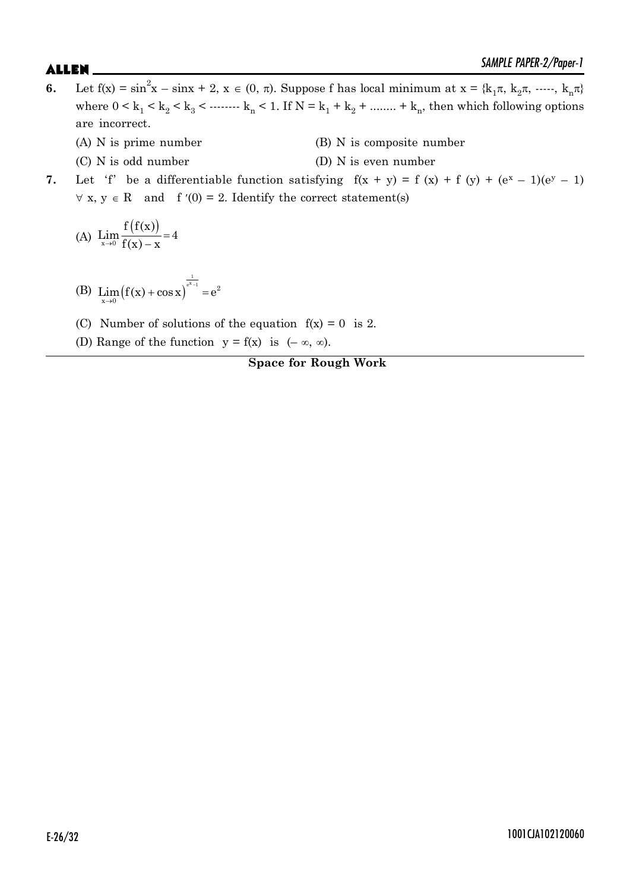- **6.** Let  $f(x) = \sin^2 x \sin x + 2$ ,  $x \in (0, \pi)$ . Suppose f has local minimum at  $x = \{k_1 \pi, k_2 \pi, \dots, k_n \pi\}$ where  $0 \le k_1 \le k_2 \le k_3 \le \dots \le k_n \le 1$ . If  $N = k_1 + k_2 + \dots + k_n$ , then which following options are incorrect.
	- (A) N is prime number (B) N is composite number
	- (C) N is odd number (D) N is even number
- **7.** Let 'f' be a differentiable function satisfying  $f(x + y) = f(x) + f(y) + (e^x 1)(e^y 1)$  $\forall x, y \in R$  and f'(0) = 2. Identify the correct statement(s)

(A) 
$$
\lim_{x \to 0} \frac{f(f(x))}{f(x) - x} = 4
$$

- (B)  $\text{Lim}(f(x) + \cos x)$  $\frac{1}{e^{x}-1}$  2  $\lim_{x\to 0} (f(x) + \cos x)^{e^{x-1}} = e$  $\lim_{x\to 0} (f(x) + \cos x) = 0$
- (C) Number of solutions of the equation  $f(x) = 0$  is 2.
- (D) Range of the function  $y = f(x)$  is  $(-\infty, \infty)$ .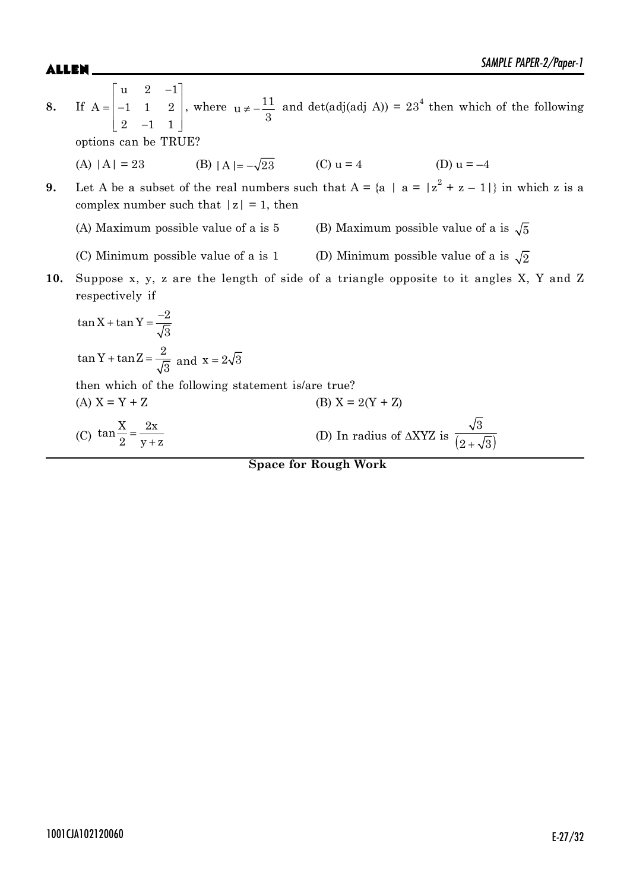**8.** If u  $2 -1$  $A = \begin{vmatrix} -1 & 1 & 2 \end{vmatrix}$ 2  $-1$  1  $\begin{bmatrix} u & 2 & -1 \end{bmatrix}$  $=\begin{vmatrix} -1 & 1 & 2 \end{vmatrix}$  $\begin{bmatrix} 2 & -1 & 1 \end{bmatrix}$ , where  $u \neq -\frac{11}{2}$ 3 and det(adj(adj A)) =  $23<sup>4</sup>$  then which of the following options can be TRUE? (A)  $|A| = 23$  (B)  $|A| = -\sqrt{23}$  (C)  $u = 4$  (D)  $u = -4$ **9.** Let A be a subset of the real numbers such that  $A = \{a \mid a = |z^2 + z - 1|\}$  in which z is a complex number such that  $|z| = 1$ , then (A) Maximum possible value of a is 5 (B) Maximum possible value of a is  $\sqrt{5}$ (C) Minimum possible value of a is 1 (D) Minimum possible value of a is  $\sqrt{2}$ **10.** Suppose x, y, z are the length of side of a triangle opposite to it angles X, Y and Z respectively if  $\tan X + \tan Y = \frac{-2}{\sqrt{2}}$ 3  $+$  tan Y =  $\frac{-}{4}$  $\tan Y + \tan Z = \frac{2}{5}$  $+\tan Z = \frac{2}{\sqrt{3}}$  and  $x = 2\sqrt{3}$ then which of the following statement is/are true? (A)  $X = Y + Z$  (B)  $X = 2(Y + Z)$ (C)  $\tan\frac{X}{2} = \frac{2x}{x+1}$ 2  $y+z$  $=$  $\ddot{}$ (D) In radius of  $\triangle XYZ$  is  $\frac{1}{(2+\sqrt{3})}$ 3  $2 + \sqrt{3}$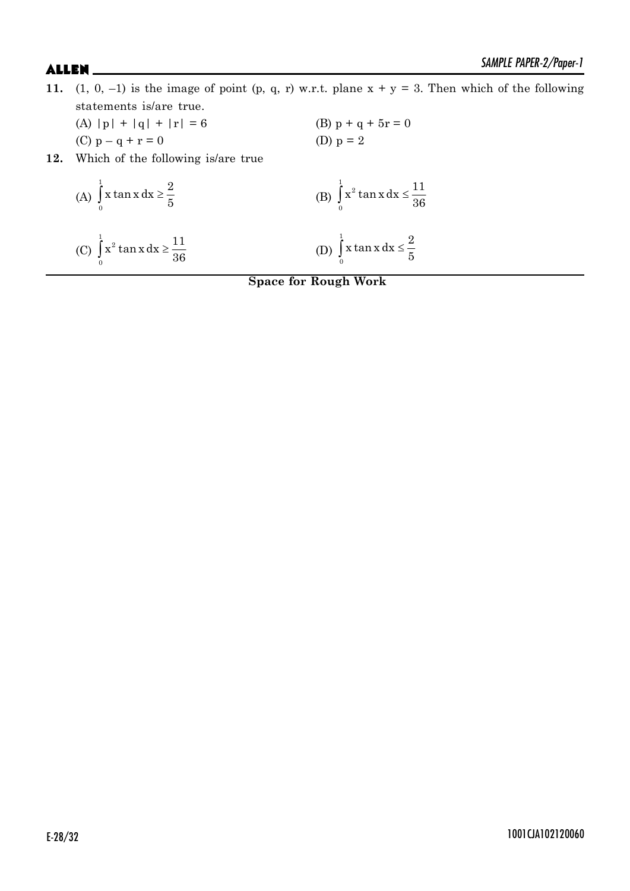- **11.** (1, 0, -1) is the image of point (p, q, r) w.r.t. plane  $x + y = 3$ . Then which of the following statements is/are true.
	- (A)  $|p| + |q| + |r| = 6$  (B)  $p + q + 5r = 0$ (C)  $p - q + r = 0$  (D)  $p = 2$
- **12.** Which of the following is/are true

(A) 
$$
\int_{0}^{1} x \tan x \, dx \ge \frac{2}{5}
$$
  
\n(B)  $\int_{0}^{1} x^{2} \tan x \, dx \le \frac{11}{36}$   
\n(C)  $\int_{0}^{1} x^{2} \tan x \, dx \ge \frac{11}{36}$   
\n(D)  $\int_{0}^{1} x \tan x \, dx \le \frac{2}{5}$ 

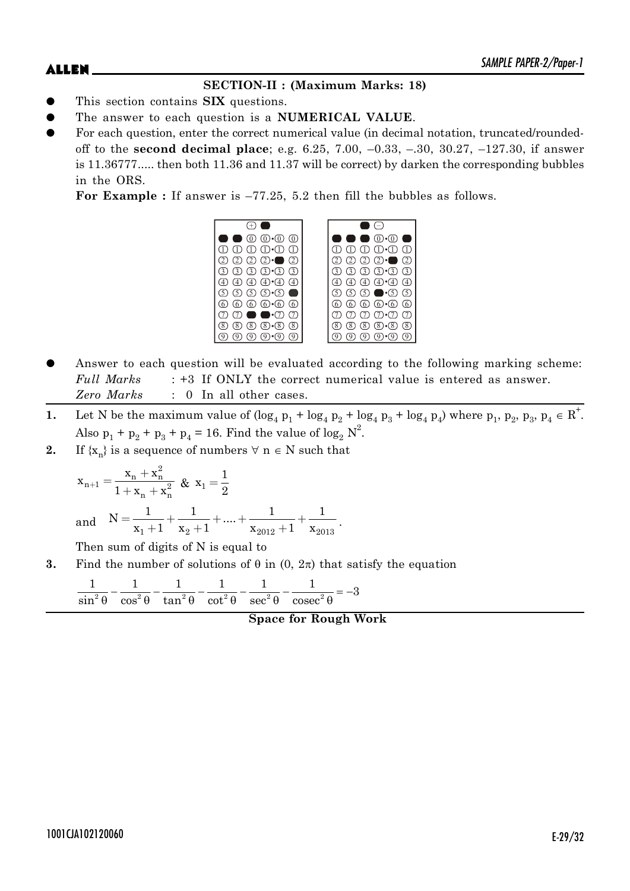### **SECTION-II : (Maximum Marks: 18)**

- This section contains **SIX** questions.
- The answer to each question is a **NUMERICAL VALUE**.
- For each question, enter the correct numerical value (in decimal notation, truncated/roundedoff to the **second decimal place**; e.g. 6.25, 7.00, –0.33, –.30, 30.27, –127.30, if answer is 11.36777..... then both 11.36 and 11.37 will be correct) by darken the corresponding bubbles in the ORS.

**For Example :** If answer is –77.25, 5.2 then fill the bubbles as follows.



- Answer to each question will be evaluated according to the following marking scheme: *Full Marks* : +3 If ONLY the correct numerical value is entered as answer. *Zero Marks* : 0 In all other cases.
- **1.** Let N be the maximum value of  $(\log_4 p_1 + \log_4 p_2 + \log_4 p_3 + \log_4 p_4)$  where  $p_1, p_2, p_3, p_4 \in \mathbb{R}^+$ . Also  $p_1 + p_2 + p_3 + p_4 = 16$ . Find the value of  $\log_2 N^2$ .
- **2.** If  $\{x_n\}$  is a sequence of numbers  $\forall n \in N$  such that

$$
x_{n+1} = \frac{x_n + x_n^2}{1 + x_n + x_n^2} \& x_1 = \frac{1}{2}
$$
  
and 
$$
N = \frac{1}{x_1 + 1} + \frac{1}{x_2 + 1} + \dots + \frac{1}{x_{2012} + 1} + \frac{1}{x_{2013}}.
$$

Then sum of digits of N is equal to

**3.** Find the number of solutions of  $\theta$  in  $(0, 2\pi)$  that satisfy the equation

$$
\frac{1}{\sin^2\theta} - \frac{1}{\cos^2\theta} - \frac{1}{\tan^2\theta} - \frac{1}{\cot^2\theta} - \frac{1}{\sec^2\theta} - \frac{1}{\csc^2\theta} = -3
$$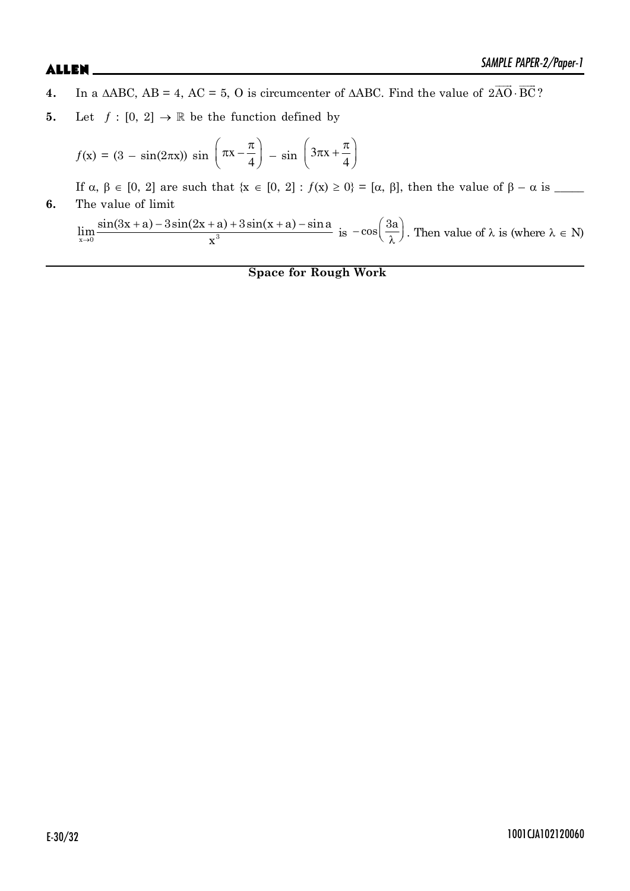- **4.** In a  $\triangle ABC$ ,  $AB = 4$ ,  $AC = 5$ , O is circumcenter of  $\triangle ABC$ . Find the value of  $2AO$ .  $\overrightarrow{16}$   $\overrightarrow{25}$  $2AO \cdot BC$ ?
- **5.** Let  $f : [0, 2] \rightarrow \mathbb{R}$  be the function defined by

$$
f(\mathbf{x}) = (3 - \sin(2\pi\mathbf{x})) \sin\left(\pi\mathbf{x} - \frac{\pi}{4}\right) - \sin\left(3\pi\mathbf{x} + \frac{\pi}{4}\right)
$$

If D, E [0, 2] are such that {x [0, 2] : ƒ(x) t 0} = [D, E], then the value of E – Dis \_\_\_\_\_ **6.** The value of limit

 $\rightarrow$  $(a + a) - 3\sin(2x + a) + 3\sin(x + a) \lim_{x\to 0} \frac{\sin(3x + a) - 3\sin(2x + a) + 3\sin(x + a) - \sin a}{x^3}$  $\frac{x^3}{x^3}$  is  $-\cos\left(\frac{3a}{\lambda}\right)$ . Then value of  $\lambda$  is (where  $\lambda \in N$ )

**Space for Rough Work**